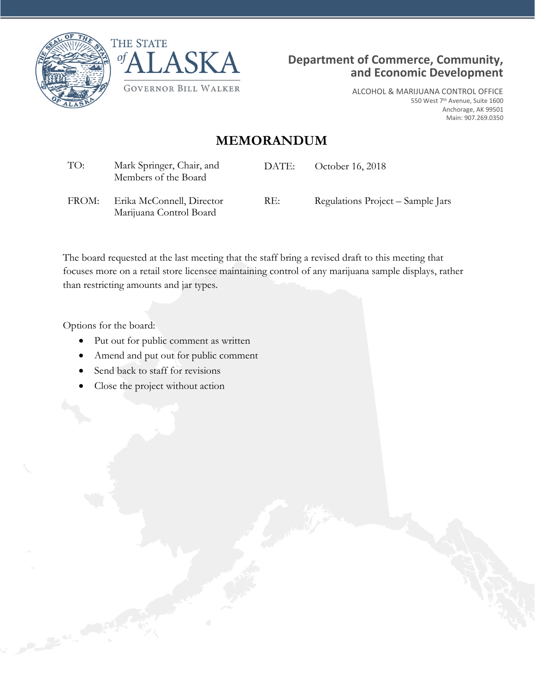





ALCOHOL & MARIJUANA CONTROL OFFICE 550 West 7th Avenue, Suite 1600 Anchorage, AK 99501 Main: 907.269.0350

## **MEMORANDUM**

| TO:   | Mark Springer, Chair, and<br>Members of the Board | DATE: | October 16, 2018                  |
|-------|---------------------------------------------------|-------|-----------------------------------|
| FROM: | Erika McConnell, Director                         | RE:   | Regulations Project – Sample Jars |

Marijuana Control Board

The board requested at the last meeting that the staff bring a revised draft to this meeting that focuses more on a retail store licensee maintaining control of any marijuana sample displays, rather than restricting amounts and jar types.

Options for the board:

- Put out for public comment as written
- Amend and put out for public comment
- Send back to staff for revisions
- Close the project without action